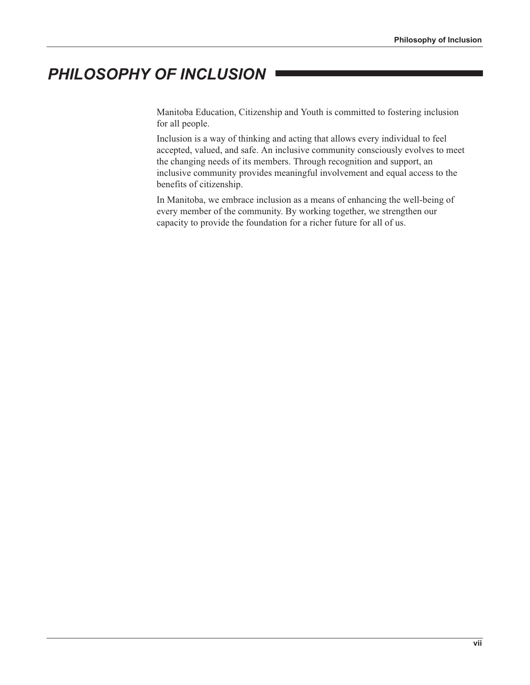## PHILOSOPHY OF INCLUSION

Manitoba Education, Citizenship and Youth is committed to fostering inclusion for all people.

Inclusion is a way of thinking and acting that allows every individual to feel accepted, valued, and safe. An inclusive community consciously evolves to meet the changing needs of its members. Through recognition and support, an inclusive community provides meaningful involvement and equal access to the benefits of citizenship.

In Manitoba, we embrace inclusion as a means of enhancing the well-being of every member of the community. By working together, we strengthen our capacity to provide the foundation for a richer future for all of us.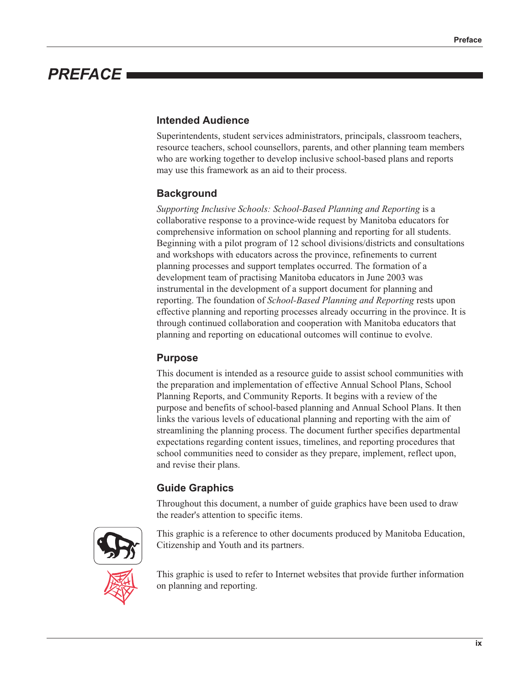# **PREFACE**

#### **Intended Audience**

Superintendents, student services administrators, principals, classroom teachers, resource teachers, school counsellors, parents, and other planning team members who are working together to develop inclusive school-based plans and reports may use this framework as an aid to their process.

#### **Background**

Supporting Inclusive Schools: School-Based Planning and Reporting is a collaborative response to a province-wide request by Manitoba educators for comprehensive information on school planning and reporting for all students. Beginning with a pilot program of 12 school divisions/districts and consultations and workshops with educators across the province, refinements to current planning processes and support templates occurred. The formation of a development team of practising Manitoba educators in June 2003 was instrumental in the development of a support document for planning and reporting. The foundation of School-Based Planning and Reporting rests upon effective planning and reporting processes already occurring in the province. It is through continued collaboration and cooperation with Manitoba educators that planning and reporting on educational outcomes will continue to evolve.

#### **Purpose**

This document is intended as a resource guide to assist school communities with the preparation and implementation of effective Annual School Plans, School Planning Reports, and Community Reports. It begins with a review of the purpose and benefits of school-based planning and Annual School Plans. It then links the various levels of educational planning and reporting with the aim of streamlining the planning process. The document further specifies departmental expectations regarding content issues, timelines, and reporting procedures that school communities need to consider as they prepare, implement, reflect upon, and revise their plans.

#### **Guide Graphics**

Throughout this document, a number of guide graphics have been used to draw the reader's attention to specific items.



This graphic is a reference to other documents produced by Manitoba Education, Citizenship and Youth and its partners.



This graphic is used to refer to Internet websites that provide further information on planning and reporting.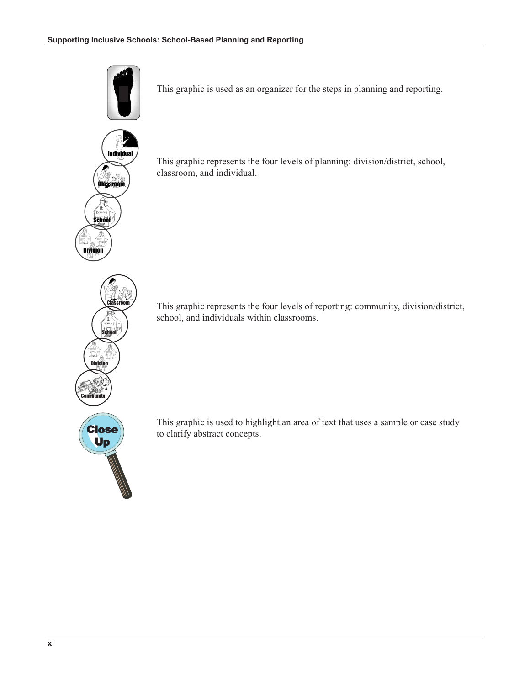

This graphic is used as an organizer for the steps in planning and reporting.



This graphic represents the four levels of planning: division/district, school, classroom, and individual.

This graphic represents the four levels of reporting: community, division/district, school, and individuals within classrooms.



**Division** 

This graphic is used to highlight an area of text that uses a sample or case study to clarify abstract concepts.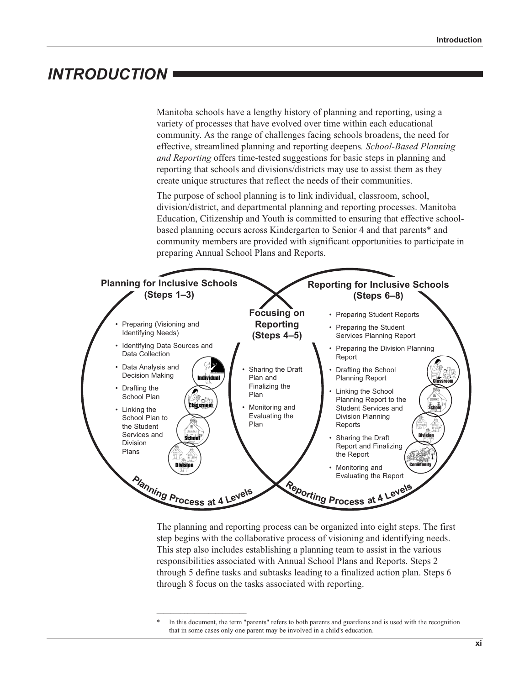### **INTRODUCTION**

Manitoba schools have a lengthy history of planning and reporting, using a variety of processes that have evolved over time within each educational community. As the range of challenges facing schools broadens, the need for effective, streamlined planning and reporting deepens. School-Based Planning and Reporting offers time-tested suggestions for basic steps in planning and reporting that schools and divisions/districts may use to assist them as they create unique structures that reflect the needs of their communities.

The purpose of school planning is to link individual, classroom, school, division/district, and departmental planning and reporting processes. Manitoba Education, Citizenship and Youth is committed to ensuring that effective schoolbased planning occurs across Kindergarten to Senior 4 and that parents\* and community members are provided with significant opportunities to participate in preparing Annual School Plans and Reports.



The planning and reporting process can be organized into eight steps. The first step begins with the collaborative process of visioning and identifying needs. This step also includes establishing a planning team to assist in the various responsibilities associated with Annual School Plans and Reports. Steps 2 through 5 define tasks and subtasks leading to a finalized action plan. Steps 6 through 8 focus on the tasks associated with reporting.

In this document, the term "parents" refers to both parents and guardians and is used with the recognition that in some cases only one parent may be involved in a child's education.